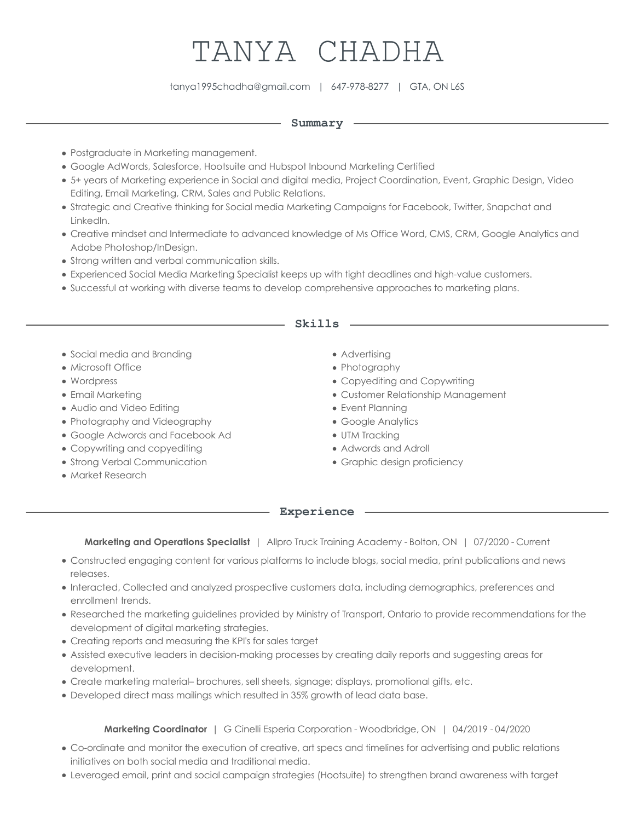# TANYA CHADHA

tanya1995chadha@gmail.com | 647-978-8277 | GTA, ON L6S

#### **Summary**

- Postgraduate in Marketing management.
- Google AdWords, Salesforce, Hootsuite and Hubspot Inbound Marketing Certified
- 5+ years of Marketing experience in Social and digital media, Project Coordination, Event, Graphic Design, Video Editing, Email Marketing, CRM, Sales and Public Relations.
- Strategic and Creative thinking for Social media Marketing Campaigns for Facebook, Twitter, Snapchat and LinkedIn.
- Creative mindset and Intermediate to advanced knowledge of Ms Office Word, CMS, CRM, Google Analytics and Adobe Photoshop/InDesign.
- Strong written and verbal communication skills.
- Experienced Social Media Marketing Specialist keeps up with tight deadlines and high-value customers.
- Successful at working with diverse teams to develop comprehensive approaches to marketing plans.

#### **Skills**

- Social media and Branding
- Microsoft Office
- Wordpress
- Email Marketing
- Audio and Video Editing
- Photography and Videography
- Google Adwords and Facebook Ad
- Copywriting and copyediting
- Strong Verbal Communication
- Market Research
- **•** Advertising
- Photography
- Copyediting and Copywriting
- Customer Relationship Management
- Event Planning
- Google Analytics
- UTM Tracking
- Adwords and Adroll
- Graphic design proficiency

#### **Experience**

**Marketing and Operations Specialist** | Allpro Truck Training Academy - Bolton, ON | 07/2020 - Current

- Constructed engaging content for various platforms to include blogs, social media, print publications and news releases.
- Interacted, Collected and analyzed prospective customers data, including demographics, preferences and enrollment trends.
- Researched the marketing guidelines provided by Ministry of Transport, Ontario to provide recommendations for the development of digital marketing strategies.
- Creating reports and measuring the KPI's for sales target
- Assisted executive leaders in decision-making processes by creating daily reports and suggesting areas for development.
- Create marketing material– brochures, sell sheets, signage; displays, promotional gifts, etc.
- Developed direct mass mailings which resulted in 35% growth of lead data base.

## **Marketing Coordinator** | G Cinelli Esperia Corporation - Woodbridge, ON | 04/2019 - 04/2020

- Co-ordinate and monitor the execution of creative, art specs and timelines for advertising and public relations initiatives on both social media and traditional media.
- Leveraged email, print and social campaign strategies (Hootsuite) to strengthen brand awareness with target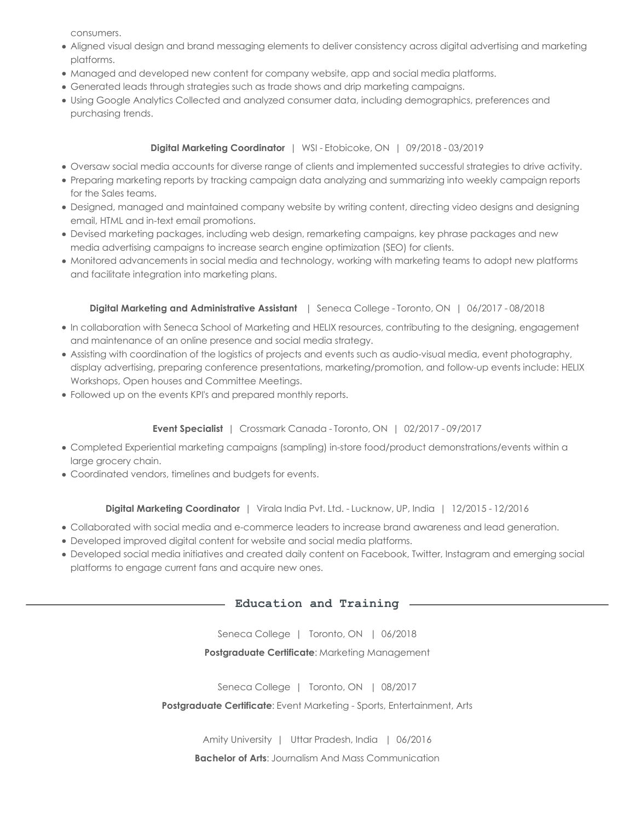consumers.

- Aligned visual design and brand messaging elements to deliver consistency across digital advertising and marketing platforms.
- Managed and developed new content for company website, app and social media platforms.
- Generated leads through strategies such as trade shows and drip marketing campaigns.
- Using Google Analytics Collected and analyzed consumer data, including demographics, preferences and purchasing trends.

## **Digital Marketing Coordinator** | WSI - Etobicoke, ON | 09/2018 - 03/2019

- Oversaw social media accounts for diverse range of clients and implemented successful strategies to drive activity.
- Preparing marketing reports by tracking campaign data analyzing and summarizing into weekly campaign reports for the Sales teams.
- Designed, managed and maintained company website by writing content, directing video designs and designing email, HTML and in-text email promotions.
- Devised marketing packages, including web design, remarketing campaigns, key phrase packages and new media advertising campaigns to increase search engine optimization (SEO) for clients.
- Monitored advancements in social media and technology, working with marketing teams to adopt new platforms and facilitate integration into marketing plans.

## **Digital Marketing and Administrative Assistant**  | Seneca College - Toronto, ON | 06/2017 - 08/2018

- In collaboration with Seneca School of Marketing and HELIX resources, contributing to the designing, engagement and maintenance of an online presence and social media strategy.
- Assisting with coordination of the logistics of projects and events such as audio-visual media, event photography, display advertising, preparing conference presentations, marketing/promotion, and follow-up events include: HELIX Workshops, Open houses and Committee Meetings.
- Followed up on the events KPI's and prepared monthly reports.

## **Event Specialist** | Crossmark Canada - Toronto, ON | 02/2017 - 09/2017

- Completed Experiential marketing campaigns (sampling) in-store food/product demonstrations/events within a large grocery chain.
- Coordinated vendors, timelines and budgets for events.

#### **Digital Marketing Coordinator** | Virala India Pvt. Ltd. - Lucknow, UP, India | 12/2015 - 12/2016

- Collaborated with social media and e-commerce leaders to increase brand awareness and lead generation.
- Developed improved digital content for website and social media platforms.
- Developed social media initiatives and created daily content on Facebook, Twitter, Instagram and emerging social platforms to engage current fans and acquire new ones.

#### **Education and Training**

Seneca College | Toronto, ON | 06/2018

#### **Postgraduate Certificate**: Marketing Management

Seneca College | Toronto, ON | 08/2017

**Postgraduate Certificate**: Event Marketing - Sports, Entertainment, Arts

Amity University | Uttar Pradesh, India | 06/2016

**Bachelor of Arts:** Journalism And Mass Communication